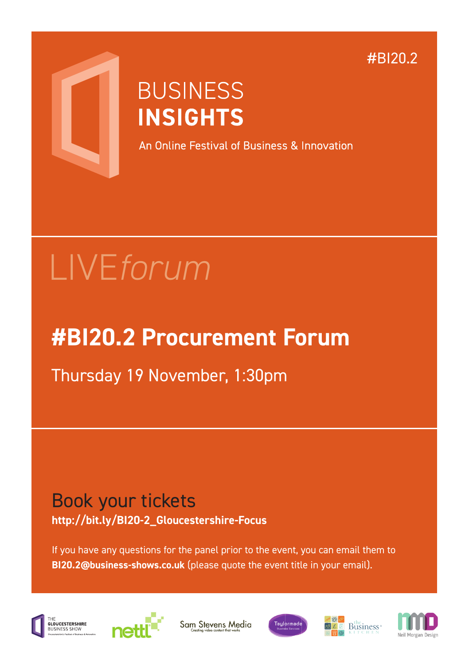#### #BI20.2



## **BUSINESS INSIGHTS**

An Online Festival of Business & Innovation

# LIVE*forum*

### **#BI20.2 Procurement Forum**

Thursday 19 November, 1:30pm

#### Book your tickets **http://bit.ly/BI20-2\_Gloucestershire-Focus**

If you have any questions for the panel prior to the event, you can email them to **BI20.2@business-shows.co.uk** (please quote the event title in your email).





Sam Stevens Media